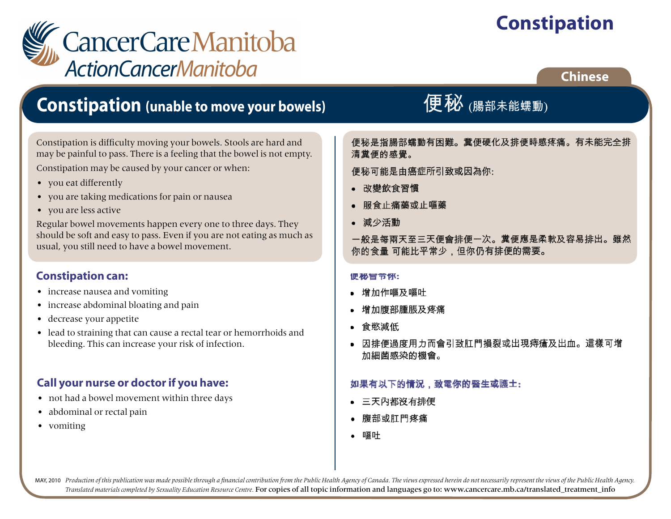# **Constipation**



### **Chinese**

## **Constipation (unable to move your bowels)**

Constipation is difficulty moving your bowels. Stools are hard and may be painful to pass. There is a feeling that the bowel is not empty.

Constipation may be caused by your cancer or when:

- you eat differently
- you are taking medications for pain or nausea
- you are less active

Regular bowel movements happen every one to three days. They should be soft and easy to pass. Even if you are not eating as much as usual, you still need to have a bowel movement.

### **Constipation can:**

- increase nausea and vomiting
- increase abdominal bloating and pain
- decrease your appetite
- lead to straining that can cause a rectal tear or hemorrhoids and bleeding. This can increase your risk of infection.

### **Call your nurse or doctor if you have:**

- not had a bowel movement within three days
- abdominal or rectal pain
- vomiting

便秘 (腸部未能蠕動)

便秘是指腸部蠕動有困難。糞便硬化及排便時感疼痛。有未能完全排 清糞便的感覺。

便秘可能是由癌症所引致或因為你:

- 改變飲食習慣
- 服食止痛藥或止嘔藥
- 減少活動

一般是每兩天至三天便會排便一次。糞便應是柔軟及容易排出。雖然 你的食量 可能比平常少,但你仍有排便的需要。

#### 便秘曾节怀:

- 增加作嘔及嘔吐
- 增加腹部腫脹及疼痛
- 食慾減低
- 因排便過度用力而會引致肛門損裂或出現痔瘡及出血。這樣可增 加細菌感染的機會。

### 如果有以下的情況,致電你的醫生或護士;

- 三天內都沒有排便
- 腹部或肛門疼痛
- 嘔叶

MAY, 2010 Production of this publication was made possible through a financial contribution from the Public Health Agency of Canada. The views expressed herein do not necessarily represent the views of the Public Health Ag *Translated materials completed by Sexuality Education Resource Centre.* For copies of all topic information and languages go to: www.cancercare.mb.ca/translated\_treatment\_info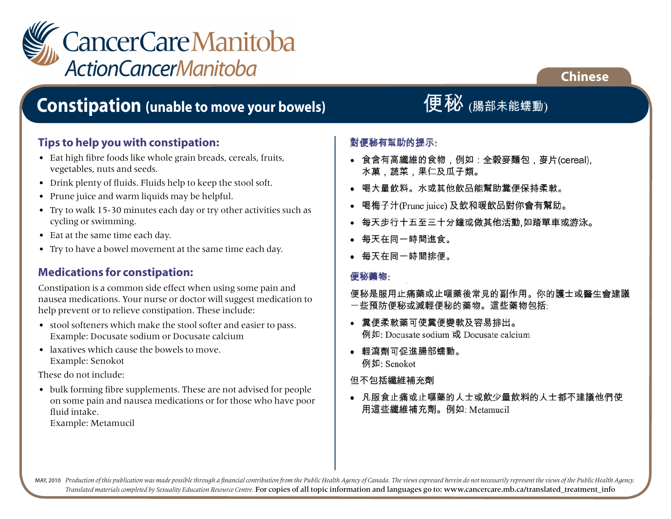

## **Constipation (unable to move your bowels)**

### **Tips to help you with constipation:**

- Eat high fibre foods like whole grain breads, cereals, fruits, vegetables, nuts and seeds.
- Drink plenty of fluids. Fluids help to keep the stool soft.
- Prune juice and warm liquids may be helpful.
- Try to walk 15-30 minutes each day or try other activities such as cycling or swimming.
- Eat at the same time each day.
- Try to have a bowel movement at the same time each day.

### **Medications for constipation:**

Constipation is a common side effect when using some pain and nausea medications. Your nurse or doctor will suggest medication to help prevent or to relieve constipation. These include:

- stool softeners which make the stool softer and easier to pass. Example: Docusate sodium or Docusate calcium
- laxatives which cause the bowels to move. Example: Senokot

These do not include:

• bulk forming fibre supplements. These are not advised for people on some pain and nausea medications or for those who have poor fluid intake.

Example: Metamucil

### 對便秘有幫助的提示:

• 食含有高纖維的食物,例如:全穀麥麵包,麥片(cereal), 水菓,蔬菜,果仁及瓜子類。

便秘 (腸部未能蠕動)

- 喝大量飲料。水或其他飲品能幫助糞便保持柔軟。
- 喝梅子汁(Prune juice)及飲和暖飲品對你會有幫助。
- 每天步行十五至三十分鐘或做其他活動,如踏單車或游泳。
- 每天在同一時間進食。
- 每天在同一時間排便。

#### 便秘畫物·

便秘是服用止痛藥或止嘔藥後常見的副作用。你的護士或醫生會建議 一些預防便秘或減輕便秘的藥物。這些藥物包括:

- 糞便柔軟藥可使糞便變軟及容易排出。 例如: Docusate sodium 或 Docusate calcium
- 輕瀉劑可促進腸部蠕動。 例如: Senokot

#### 但不包括纖維補充劑

● 凡服食止痛或止嘔藥的人士或飲少量飲料的人士都不建議他們使 用這些纖維補充劑。例如: Metamucil

MAY, 2010 Production of this publication was made possible through a financial contribution from the Public Health Agency of Canada. The views expressed herein do not necessarily represent the views of the Public Health Ag *Translated materials completed by Sexuality Education Resource Centre.* For copies of all topic information and languages go to: www.cancercare.mb.ca/translated\_treatment\_info

**Chinese**